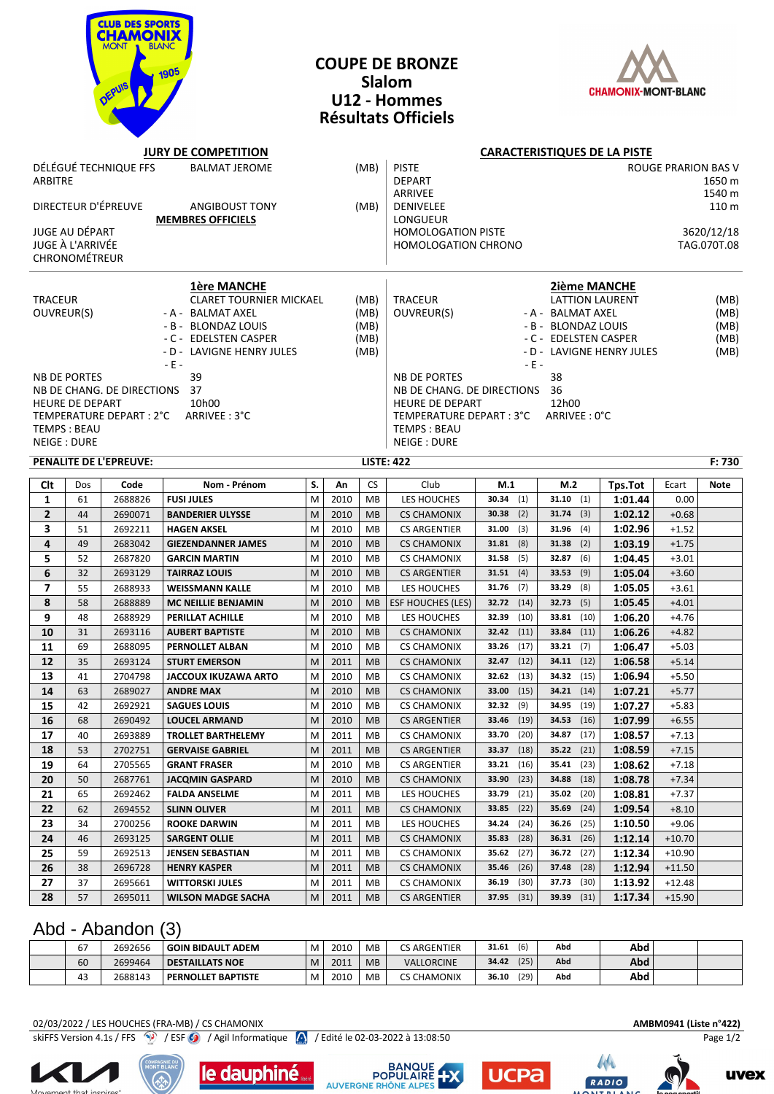

#### **COUPE DE BRONZE Slalom U12 - Hommes Résultats Officiels**



#### **JURY DE COMPETITION CARACTERISTIQUES DE LA PISTE** DÉLÉGUÉ TECHNIQUE FFS BALMAT JEROME (MB) PISTE ROUGE PRARION BAS V ARBITRE DEPART 1650 m ARRIVEE 1540 m DIRECTEUR D'ÉPREUVE ANGIBOUST TONY (MB) DENIVELEE 110 m **MEMBRES OFFICIELS LONGUEUR** JUGE AU DÉPART HOMOLOGATION PISTE 3620/12/18 JUGE À L'ARRIVÉE HOMOLOGATION CHRONO TAG.070T.08 CHRONOMÉTREUR **1ère MANCHE 2ième MANCHE** TRACEUR CLARET TOURNIER MICKAEL (MB) TRACEUR LATTION LAURENT (MB) OUVREUR(S) - A - BALMAT AXEL (MB) | OUVREUR(S) - A - BALMAT AXEL (MB) - B - BLONDAZ LOUIS (MB) G - B - BLONDAZ LOUIS (MB) - C - EDELSTEN CASPER (MB)  $\vert$  - C - EDELSTEN CASPER (MB) - D - LAVIGNE HENRY JULES (MB) - D - LAVIGNE HENRY JULES (MB) - E - - E - NB DE PORTES 39 39 39 AMB DE PORTES 38 NB DE CHANG. DE DIRECTIONS 37 NB DE CHANG. DE DIRECTIONS 36 HEURE DE DEPART 10h00 HEURE DE DEPART 12h00 TEMPERATURE DEPART : 2°C ARRIVEE : 3°C  $\overline{1}$  TEMPERATURE DEPART : 3°C  $\overline{1}$  TEMPS : BEAU TEMPS : BEAU NEIGE : DURE NEIGE : DURE NEIGE : DURE **PENALITE DE L'EPREUVE: LISTE: 422 F: 730 Clt** Dos **Code Nom - Prénom S. An** CS Club **M.1 M.2 Tps.Tot** Ecart **Note 1** 61 2688826 **FUSI JULES** M 2010 MB LES HOUCHES **30.34** (1) **31.10** (1) **1:01.44** 0.00 **2** 44 2690071 **BANDERIER ULYSSE** M 2010 MB CS CHAMONIX **30.38** (2) **31.74** (3) **1:02.12** +0.68 **3** 51 2692211 **HAGEN AKSEL** M 2010 MB CS ARGENTIER **31.00** (3) **31.96** (4) **1:02.96** +1.52 **4** 49 2683042 **GIEZENDANNER JAMES** M 2010 MB CS CHAMONIX **31.81** (8) **31.38** (2) **1:03.19** +1.75 **5** 52 2687820 **GARCIN MARTIN** M 2010 MB CS CHAMONIX **31.58** (5) **32.87** (6) **1:04.45** +3.01 **6** 32 2693129 **TAIRRAZ LOUIS** M 2010 MB CS ARGENTIER **31.51** (4) **33.53** (9) **1:05.04** +3.60 **7** 55 2688933 **WEISSMANN KALLE** M 2010 MB LES HOUCHES **31.76** (7) **33.29** (8) **1:05.05** +3.61 **8** 58 2688889 **MC NEILLIE BENJAMIN** M 2010 MB ESF HOUCHES (LES) **32.72** (14) **32.73** (5) **1:05.45** +4.01 **9** 48 2688929 **PERILLAT ACHILLE** M 2010 MB LES HOUCHES **32.39** (10) **33.81** (10) **1:06.20** +4.76 **10** 31 2693116 **AUBERT BAPTISTE** M 2010 MB CS CHAMONIX **32.42** (11) **33.84** (11) **1:06.26** +4.82 **11** 69 2688095 **PERNOLLET ALBAN** M 2010 MB CS CHAMONIX **33.26** (17) **33.21** (7) **1:06.47** +5.03 **12** 35 2693124 **STURT EMERSON** M 2011 MB CS CHAMONIX **32.47** (12) **34.11** (12) **1:06.58** +5.14 **13** 41 2704798 **JACCOUX IKUZAWA ARTO** M 2010 MB CS CHAMONIX **32.62** (13) **34.32** (15) **1:06.94** +5.50 **14** 63 2689027 **ANDRE MAX** M 2010 MB CS CHAMONIX **33.00** (15) **34.21** (14) **1:07.21** +5.77 **15** 42 2692921 **SAGUES LOUIS** M 2010 MB CS CHAMONIX **32.32** (9) **34.95** (19) **1:07.27** +5.83 **16** 68 2690492 **LOUCEL ARMAND** M 2010 MB CS ARGENTIER **33.46** (19) **34.53** (16) **1:07.99** +6.55 **17** 40 2693889 **TROLLET BARTHELEMY** M 2011 MB CS CHAMONIX **33.70** (20) **34.87** (17) **1:08.57** +7.13 **18** 53 2702751 **GERVAISE GABRIEL** M 2011 MB CS ARGENTIER **33.37** (18) **35.22** (21) **1:08.59** +7.15 **19** 64 2705565 **GRANT FRASER** M 2010 MB CS ARGENTIER **33.21** (16) **35.41** (23) **1:08.62** +7.18 **20** 50 2687761 **JACQMIN GASPARD** M 2010 MB CS CHAMONIX **33.90** (23) **34.88** (18) **1:08.78** +7.34 **21** 65 2692462 **FALDA ANSELME** M 2011 MB LES HOUCHES **33.79** (21) **35.02** (20) **1:08.81** +7.37 **22** 62 2694552 **SLINN OLIVER** M 2011 MB CS CHAMONIX **33.85** (22) **35.69** (24) **1:09.54** +8.10 **23** 34 2700256 **ROOKE DARWIN** M 2011 MB LES HOUCHES **34.24** (24) **36.26** (25) **1:10.50** +9.06 **24** 46 2693125 **SARGENT OLLIE** M 2011 MB CS CHAMONIX **35.83** (28) **36.31** (26) **1:12.14** +10.70 **25** 59 2692513 **JENSEN SEBASTIAN** M 2011 MB CS CHAMONIX **35.62** (27) **36.72** (27) **1:12.34** +10.90

### Abd - Abandon (3)

| $\overline{\phantom{a}}$<br>ь, | 2692656 | GOIN BIDAULT ADEM  | M | 2010 | <b>MB</b> | <b>CS ARGENTIER</b> | (6)<br>31.61  | Abd | Abd        |  |
|--------------------------------|---------|--------------------|---|------|-----------|---------------------|---------------|-----|------------|--|
| 60                             | 2699464 | DESTAILLATS NOE    | M | 2011 | <b>MB</b> | <b>VALLORCINE</b>   | (25)<br>34.42 | Abd | <b>Abd</b> |  |
| 43                             | 2688143 | PERNOLLET BAPTISTE | M | 2010 | <b>MB</b> | <b>CS CHAMONIX</b>  | (29)<br>36.10 | Abd | Abd        |  |

**26** 38 2696728 **HENRY KASPER** M 2011 MB CS CHAMONIX **35.46** (26) **37.48** (28) **1:12.94** +11.50 **27** 37 2695661 **WITTORSKI JULES** M 2011 MB CS CHAMONIX **36.19** (30) **37.73** (30) **1:13.92** +12.48 **28** 57 2695011 **WILSON MADGE SACHA** M 2011 MB CS ARGENTIER **37.95** (31) **39.39** (31) **1:17.34** +15.90

02/03/2022 / LES HOUCHES (FRA-MB) / CS CHAMONIX **AMBM0941 (Liste n°422)** skiFFS Version 4.1s / FFS <sup>(2</sup>) / ESF <sup>(2</sup>) / Agil Informatique *(2)* / Edité le 02-03-2022 à 13:08:50 Page 1/2